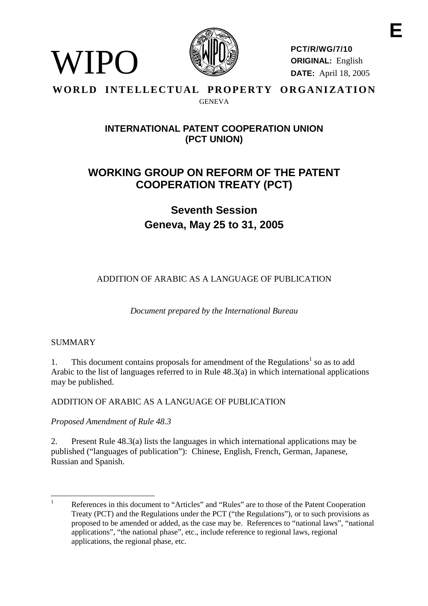

**PCT/R/WG/7/10 ORIGINAL:** English **DATE:** April 18, 2005

### WORLD INTELLECTUAL PROPERTY ORGANIZATION GENEVA

# **INTERNATIONAL PATENT COOPERATION UNION (PCT UNION)**

# **WORKING GROUP ON REFORM OF THE PATENT COOPERATION TREATY (PCT)**

**Seventh Session Geneva, May 25 to 31, 2005**

ADDITION OF ARABIC AS A LANGUAGE OF PUBLICATION

*Document prepared by the International Bureau*

# **SUMMARY**

WIPO

1. This document contains proposals for amendment of the Regulations<sup>1</sup> so as to add Arabic to the list of languages referred to in Rule 48.3(a) in which international applications may be published.

# ADDITION OF ARABIC AS A LANGUAGE OF PUBLICATION

*Proposed Amendment of Rule 48.3*

2. Present Rule 48.3(a) lists the languages in which international applications may be published ("languages of publication"): Chinese, English, French, German, Japanese, Russian and Spanish.

<sup>&</sup>lt;sup>1</sup> References in this document to "Articles" and "Rules" are to those of the Patent Cooperation Treaty (PCT) and the Regulations under the PCT ("the Regulations"), or to such provisions as proposed to be amended or added, as the case may be. References to "national laws", "national applications", "the national phase", etc., include reference to regional laws, regional applications, the regional phase, etc.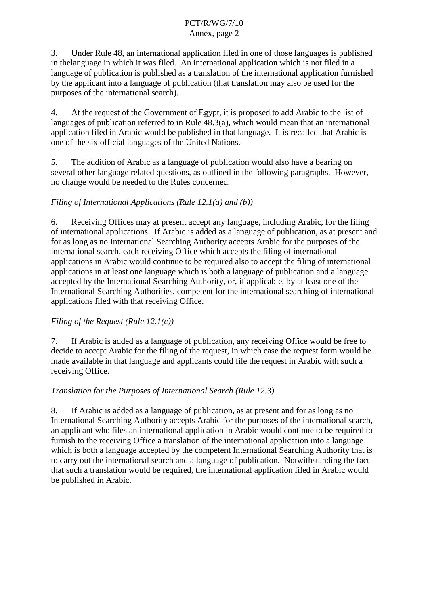<span id="page-1-0"></span>3. Under Rule 48, an international application filed in one of those languages is published in the language in which it was filed. An international application which is not filed in a language of publication is published as a translation of the international application furnished by the applicant into a language of publication (that translation may also be used for the purposes of the international search).

4. At the request of the Government of Egypt, it is proposed to add Arabic to the list of languages of publication referred to in Rule 48.3(a), which would mean that an international application filed in Arabic would be published in that language. It is recalled that Arabic is one of the six official languages of the United Nations.

5. The addition of Arabic as a language of publication would also have a bearing on several other language related questions, as outlined in the following paragraphs. However, no change would be needed to the Rules concerned.

# *Filing of International Applications (Rule 12.1(a) and (b))*

6. Receiving Offices may at present accept any language, including Arabic, for the filing of international applications. If Arabic is added as a language of publication, as at present and for as long as no International Searching Authority accepts Arabic for the purposes of the international search, each receiving Office which accepts the filing of international applications in Arabic would continue to be required also to accept the filing of international applications in at least one language which is both a language of publication and a language accepted by the International Searching Authority, or, if applicable, by at least one of the International Searching Authorities, competent for the international searching of international applications filed with that receiving Office.

## *Filing of the Request (Rule 12.1(c))*

7. If Arabic is added as a language of publication, any receiving Office would be free to decide to accept Arabic for the filing of the request, in which case the request form would be made available in that language and applicants could file the request in Arabic with such a receiving Office.

## *Translation for the Purposes of International Search (Rule 12.3)*

8. If Arabic is added as a language of publication, as at present and for as long as no International Searching Authority accepts Arabic for the purposes of the international search, an applicant who files an international application in Arabic would continue to be required to furnish to the receiving Office a translation of the international application into a language which is both a language accepted by the competent International Searching Authority that is to carry out the international search and a language of publication. Notwithstanding the fact that such a translation would be required, the international application filed in Arabic would be published in Arabic.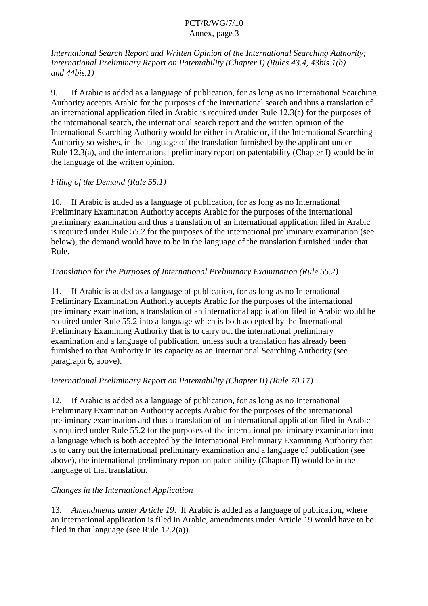*International Search Report and Written Opinion of the International Searching Authority; International Preliminary Report on Patentability (Chapter I) (Rules 43.4, 43bis.1(b) and 44bis.1)*

9. If Arabic is added as a language of publication, for as long as no International Searching Authority accepts Arabic for the purposes of the international search and thus a translation of an international application filed in Arabic is required under Rule 12.3(a) for the purposes of the international search, the international search report and the written opinion of the International Searching Authority would be either in Arabic or, if the International Searching Authority so wishes, in the language of the translation furnished by the applicant under Rule 12.3(a), and the international preliminary report on patentability (Chapter I) would be in the language of the written opinion.

# *Filing of the Demand (Rule 55.1)*

10. If Arabic is added as a language of publication, for as long as no International Preliminary Examination Authority accepts Arabic for the purposes of the international preliminary examination and thus a translation of an international application filed in Arabic is required under Rule 55.2 for the purposes of the international preliminary examination (see below), the demand would have to be in the language of the translation furnished under that Rule.

# *Translation for the Purposes of International Preliminary Examination (Rule 55.2)*

11. If Arabic is added as a language of publication, for as long as no International Preliminary Examination Authority accepts Arabic for the purposes of the international preliminary examination, a translation of an international application filed in Arabic would be required under Rule 55.2 into a language which is both accepted by the International Preliminary Examining Authority that is to carry out the international preliminary examination and a language of publication, unless such a translation has already been furnished to that Authority in its capacity as an International Searching Authority (see paragraph [6,](#page-1-0) above).

# *International Preliminary Report on Patentability (Chapter II) (Rule 70.17)*

12. If Arabic is added as a language of publication, for as long as no International Preliminary Examination Authority accepts Arabic for the purposes of the international preliminary examination and thus a translation of an international application filed in Arabic is required under Rule 55.2 for the purposes of the international preliminary examination into a language which is both accepted by the International Preliminary Examining Authority that is to carry out the international preliminary examination and a language of publication (see above), the international preliminary report on patentability (Chapter II) would be in the language of that translation.

# *Changes in the International Application*

13. *Amendments under Article 19*. If Arabic is added as a language of publication, where an international application is filed in Arabic, amendments under Article 19 would have to be filed in that language (see Rule 12.2(a)).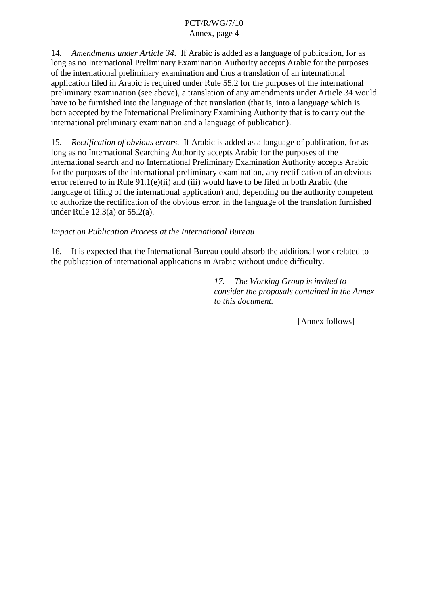14. *Amendments under Article 34*. If Arabic is added as a language of publication, for as long as no International Preliminary Examination Authority accepts Arabic for the purposes of the international preliminary examination and thus a translation of an international application filed in Arabic is required under Rule 55.2 for the purposes of the international preliminary examination (see above), a translation of any amendments under Article 34 would have to be furnished into the language of that translation (that is, into a language which is both accepted by the International Preliminary Examining Authority that is to carry out the international preliminary examination and a language of publication).

15. *Rectification of obvious errors*. If Arabic is added as a language of publication, for as long as no International Searching Authority accepts Arabic for the purposes of the international search and no International Preliminary Examination Authority accepts Arabic for the purposes of the international preliminary examination, any rectification of an obvious error referred to in Rule 91.1(e)(ii) and (iii) would have to be filed in both Arabic (the language of filing of the international application) and, depending on the authority competent to authorize the rectification of the obvious error, in the language of the translation furnished under Rule 12.3(a) or 55.2(a).

#### *Impact on Publication Process at the International Bureau*

16. It is expected that the International Bureau could absorb the additional work related to the publication of international applications in Arabic without undue difficulty.

> *17. The Working Group is invited to consider the proposals contained in the Annex to this document.*

> > [Annex follows]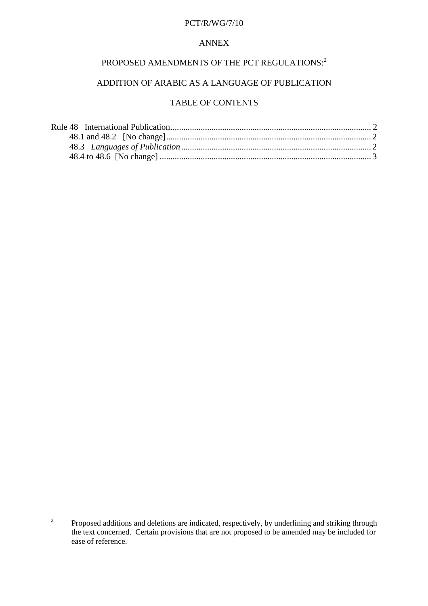#### PCT/R/WG/7/10

#### ANNEX

# PROPOSED AMENDMENTS OF THE PCT REGULATIONS:<sup>2</sup>

## ADDITION OF ARABIC AS A LANGUAGE OF PUBLICATION

# TABLE OF CONTENTS

<sup>&</sup>lt;sup>2</sup> Proposed additions and deletions are indicated, respectively, by underlining and striking through the text concerned. Certain provisions that are not proposed to be amended may be included for ease of reference.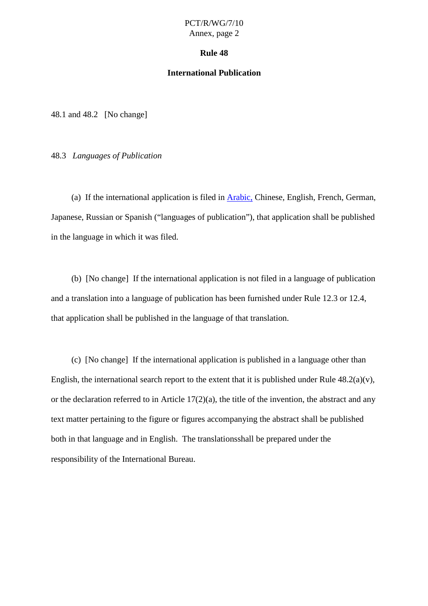#### **Rule 48**

#### **International Publication**

<span id="page-5-0"></span>48.1 and 48.2 [No change]

48.3 *Languages of Publication*

(a) If the international application is filed in Arabic, Chinese, English, French, German, Japanese, Russian or Spanish ("languages of publication"), that application shall be published in the language in which it was filed.

(b) [No change] If the international application is not filed in a language of publication and a translation into a language of publication has been furnished under Rule 12.3 or 12.4, that application shall be published in the language of that translation.

(c) [No change] If the international application is published in a language other than English, the international search report to the extent that it is published under Rule  $48.2(a)(v)$ , or the declaration referred to in Article 17(2)(a), the title of the invention, the abstract and any text matter pertaining to the figure or figures accompanying the abstract shall be published both in that language and in English. The translations shall be prepared under the responsibility of the International Bureau.